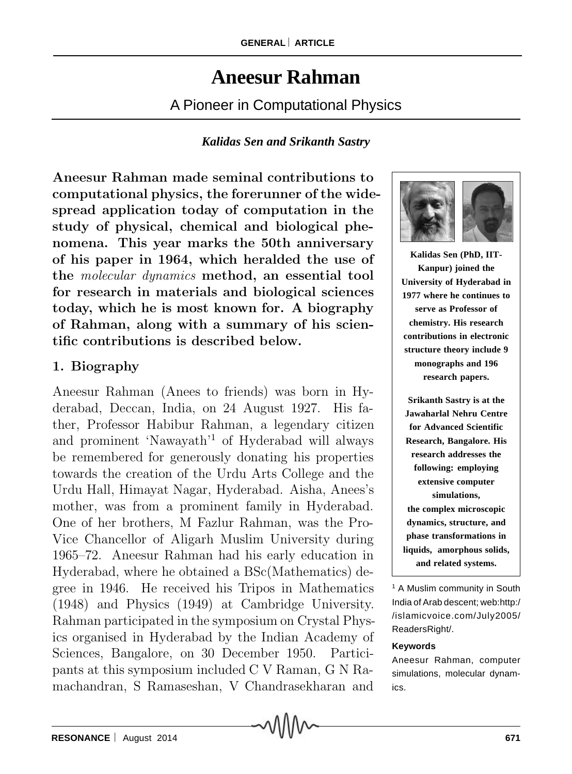# **Aneesur Rahman**

A Pioneer in Computational Physics

# *Kalidas Sen and Srikanth Sastry*

**Aneesur Rahman made seminal contributions to computational physics, the forerunner of the widespread application today of computation in the study of physical, chemical and biological phenomena. This year marks the 50th anniversary of his paper in 1964, which heralded the use of the** *molecular dynamics* **method, an essential tool for research in materials and biological sciences today, which he is most known for. A biography of Rahman, along with a summary of his scientific contributions is described below.**

# **1. Biography**

Aneesur Rahman (Anees to friends) was born in Hyderabad, Deccan, India, on 24 August 1927. His father, Professor Habibur Rahman, a legendary citizen and prominent 'Nawayath'<sup>1</sup> of Hyderabad will always be remembered for generously donating his properties towards the creation of the Urdu Arts College and the Urdu Hall, Himayat Nagar, Hyderabad. Aisha, Anees's mother, was from a prominent family in Hyderabad. One of her brothers, M Fazlur Rahman, was the Pro-Vice Chancellor of Aligarh Muslim University during 1965–72. Aneesur Rahman had his early education in Hyderabad, where he obtained a BSc(Mathematics) degree in 1946. He received his Tripos in Mathematics (1948) and Physics (1949) at Cambridge University. Rahman participated in the symposium on Crystal Physics organised in Hyderabad by the Indian Academy of Sciences, Bangalore, on 30 December 1950. Participants at this symposium included C V Raman, G N Ramachandran, S Ramaseshan, V Chandrasekharan and



**Kalidas Sen (PhD, IIT-Kanpur) joined the University of Hyderabad in 1977 where he continues to serve as Professor of chemistry. His research contributions in electronic structure theory include 9 monographs and 196 research papers.**

**Srikanth Sastry is at the Jawaharlal Nehru Centre for Advanced Scientific Research, Bangalore. His research addresses the following: employing extensive computer simulations, the complex microscopic dynamics, structure, and phase transformations in liquids, amorphous solids, and related systems.**

<sup>1</sup> A Muslim community in South India of Arab descent; web:http:/ /islamicvoice.com/July2005/ ReadersRight/.

#### **Keywords**

Aneesur Rahman, computer simulations, molecular dynamics.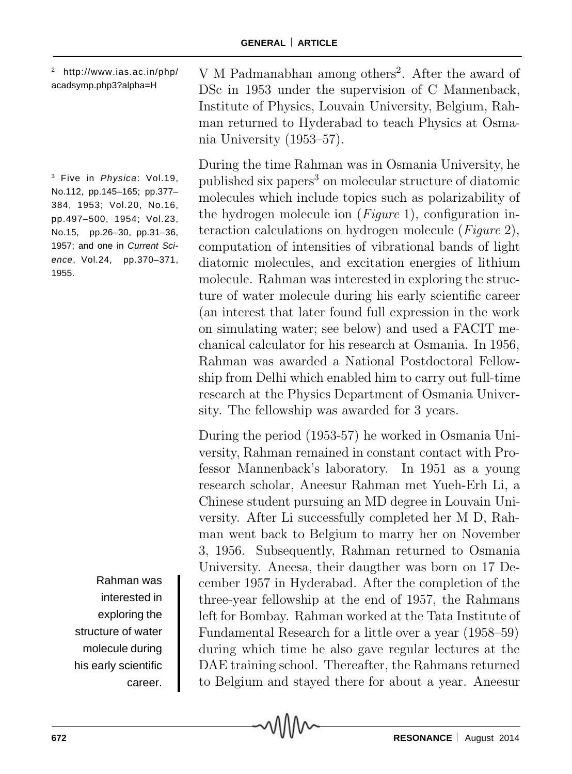2 http://www.ias.ac.in/php/ acadsymp.php3?alpha=H

3 Five in *Physica*: Vol.19, No.112, pp.145–165; pp.377– 384, 1953; Vol.20, No.16, pp.497–500, 1954; Vol.23, No.15, pp.26–30, pp.31–36, 1957; and one in *Current Science*, Vol.24, pp.370–371, 1955.

> Rahman was interested in exploring the structure of water molecule during his early scientific career.

V M Padmanabhan among others<sup>2</sup>. After the award of DSc in 1953 under the supervision of C Mannenback, Institute of Physics, Louvain University, Belgium, Rahman returned to Hyderabad to teach Physics at Osmania University (1953–57).

During the time Rahman was in Osmania University, he published six papers<sup>3</sup> on molecular structure of diatomic molecules which include topics such as polarizability of the hydrogen molecule ion (*Figure* 1), configuration interaction calculations on hydrogen molecule (*Figure* 2), computation of intensities of vibrational bands of light diatomic molecules, and excitation energies of lithium molecule. Rahman was interested in exploring the structure of water molecule during his early scientific career (an interest that later found full expression in the work on simulating water; see below) and used a FACIT mechanical calculator for his research at Osmania. In 1956, Rahman was awarded a National Postdoctoral Fellowship from Delhi which enabled him to carry out full-time research at the Physics Department of Osmania University. The fellowship was awarded for 3 years.

During the period (1953-57) he worked in Osmania University, Rahman remained in constant contact with Professor Mannenback's laboratory. In 1951 as a young research scholar, Aneesur Rahman met Yueh-Erh Li, a Chinese student pursuing an MD degree in Louvain University. After Li successfully completed her M D, Rahman went back to Belgium to marry her on November 3, 1956. Subsequently, Rahman returned to Osmania University. Aneesa, their daugther was born on 17 December 1957 in Hyderabad. After the completion of the three-year fellowship at the end of 1957, the Rahmans left for Bombay. Rahman worked at the Tata Institute of Fundamental Research for a little over a year (1958–59) during which time he also gave regular lectures at the DAE training school. Thereafter, the Rahmans returned to Belgium and stayed there for about a year. Aneesur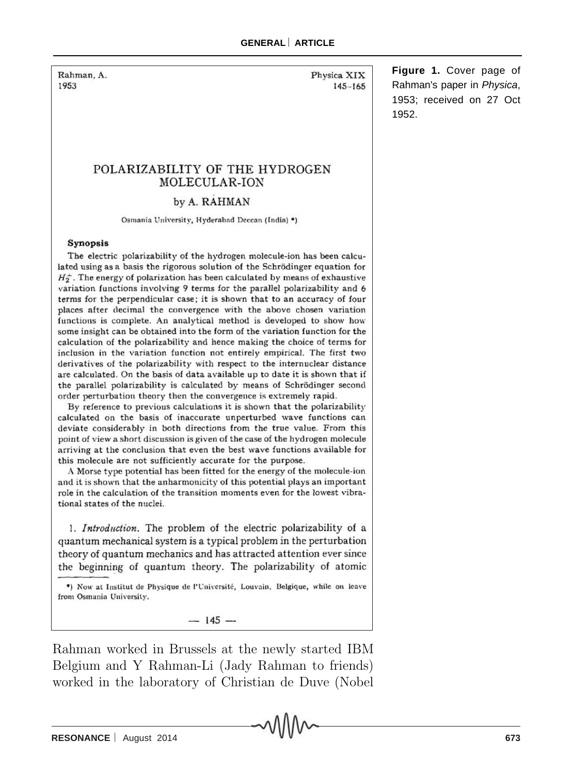Rahman, A. 1953

Physica XIX  $145 - 165$ 

**Figure 1.** Cover page of Rahman's paper in *Physica*, 1953; received on 27 Oct 1952.

## POLARIZABILITY OF THE HYDROGEN MOLECULAR-ION

#### by A. RAHMAN

Osmania University, Hyderabad Deccan (India) \*)

#### **Synopsis**

The electric polarizability of the hydrogen molecule-ion has been calculated using as a basis the rigorous solution of the Schrödinger equation for  $H_2^{\perp}$ . The energy of polarization has been calculated by means of exhaustive variation functions involving 9 terms for the parallel polarizability and 6 terms for the perpendicular case; it is shown that to an accuracy of four places after decimal the convergence with the above chosen variation functions is complete. An analytical method is developed to show how some insight can be obtained into the form of the variation function for the calculation of the polarizability and hence making the choice of terms for inclusion in the variation function not entirely empirical. The first two derivatives of the polarizability with respect to the internuclear distance are calculated. On the basis of data available up to date it is shown that if the parallel polarizability is calculated by means of Schrödinger second order perturbation theory then the convergence is extremely rapid.

By reference to previous calculations it is shown that the polarizability calculated on the basis of inaccurate unperturbed wave functions can deviate considerably in both directions from the true value. From this point of view a short discussion is given of the case of the hydrogen molecule arriving at the conclusion that even the best wave functions available for this molecule are not sufficiently accurate for the purpose.

A Morse type potential has been fitted for the energy of the molecule-ion and it is shown that the anharmonicity of this potential plays an important role in the calculation of the transition moments even for the lowest vibrational states of the nuclei.

1. Introduction. The problem of the electric polarizability of a quantum mechanical system is a typical problem in the perturbation theory of quantum mechanics and has attracted attention ever since the beginning of quantum theory. The polarizability of atomic

 $-145 -$ 

Rahman worked in Brussels at the newly started IBM Belgium and Y Rahman-Li (Jady Rahman to friends) worked in the laboratory of Christian de Duve (Nobel

<sup>\*)</sup> Now at Institut de Physique de l'Université, Louvain, Belgique, while on leave from Osmania University.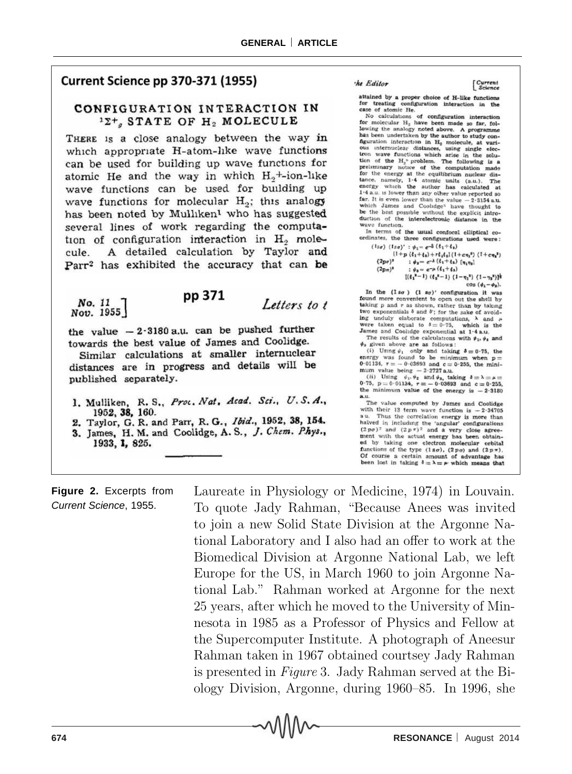### **Current Science pp 370-371 (1955)**

#### CONFIGURATION INTERACTION IN  $1\Sigma$ <sup>+</sup><sub>s</sub> STATE OF H<sub>2</sub> MOLECULE

THERE Is a close analogy between the way in which appropriate H-atom-like wave functions can be used for building up wave functions for atomic He and the way in which H<sub>2</sub>+-ion-like wave functions can be used for building up wave functions for molecular  $H_2$ ; this analogy has been noted by Mulliken<sup>1</sup> who has suggested several lines of work regarding the computation of configuration interaction in H<sub>2</sub> mole-A detailed calculation by Taylor and cule. Parr<sup>2</sup> has exhibited the accuracy that can be

pp 371 Letters to t No. 11 Nov. 1955 the value  $-2.3180$  a.u. can be pushed further towards the best value of James and Coolidge. Similar calculations at smaller internuclear distances are in progress and details will be published separately.

- 1. Mulliken, R. S., Proc. Nat. Acad. Sci., U.S.A., 1952, 38, 160.
- 2. Taylor, G. R. and Parr, R. G., Ibid., 1952, 38, 154. 3. James, H. M. and Coolidge, A. S., J. Chem. Phys.,
- 1933, 1, 825.

he Editor

 $\left[ \begin{smallmatrix} \textbf{Current} \\ \textbf{Science} \end{smallmatrix} \right]$ 

attained by a proper choice of H-like functions<br>for treating configuration interaction in the<br>case of atomic He.

So calculations of configuration interaction<br>for molecular  $H_2$  have been made so far, fol-<br>lowing the analogy noted above. A programme has been undertaken by the author to study configuration interaction in H<sub>2</sub> molecule, at various internuclear distances, using single electron wave functions which arise in the solution wave functions which arise in the solution of the  $H_2^+$  problem. The following is a preliminary notice of the computation made for the energy at the equilibrium nuclear distance, namely 1.4 atomic units (a.u.). The 1.4 a.u. is lower than any other value reported so far. It is even lower than the value  $-2.3154$  a.u. which James and Coolidge's have thought to<br>be the best possible without the explicit introduction of the interelectronic distance in the wave function.

In terms of the usual confocal elliptical co-<br>ordinates, the three configurations used were:  $(1s\sigma)$   $(1s\sigma)'$  :  $\psi_1 - e^{-\delta}$   $(\ell_1 + \ell_1)$ 

 $(1+p (\xi_1+\xi_2)+r\xi_1\xi_2)(1+c\eta_1^2)(1+c\eta_2^2)$  $(2p\sigma)^2$  :  $\phi_3 = e^{-\lambda} (\xi_1 + \xi_2) [\eta_1 \eta_3]$ <br> $(2p\pi)^2$  :  $\phi_3 = e^{-\mu} (\xi_1 + \xi_3)$  $(2p\pi)^2$  $[(\ell_1^{\;\;2}-1)\;(\ell_1^{\;\;2}-1)\;(\,1-\eta_1^{\;\;2})\;(\,1-\eta_2^{\;\;2})]^{\frac{1}{8}}$ 

 $cos(\phi_1 - \phi_2)$ .

In the  $(1 s\sigma)$   $(1 s\sigma)'$  configuration it was found more convenient to open out the shell by taking p and r as shown, rather than by taking two exponentials  $\delta$  and  $\delta$ ; for the sake of avoid-<br>try exponentials  $\delta$  and  $\delta$ ; for the sake of avoid-<br>ing unduly elaborate computations,  $\lambda$  and  $\mu$ <br>were taken equal to  $\delta = 0.75$ , which is the<br>James and Coolidg An extended to the cancel and taking  $\delta = 0.75$ , the (i) Using  $\phi_1$  only and taking  $\delta = 0.75$ , the energy was found to be minimum when  $p = 0.0134$ ,  $r = -0.03693$  and c = 0.255, the minimum value being  $-2.2727$  a.u.<br>(ii) Using  $\phi_1, \psi_2$  and  $\phi_3$ , taking  $\delta = \lambda = \mu =$ 

0.75,  $p = 0.01134$ ,  $r = -0.03693$  and  $c = 0.255$ ,<br>the minimum value of the energy is -2.3180  $a.u$ 

The value computed by Jumes and Coolidge with their 13 term wave function is  $-2.34705$ <br>au. Thus the correlation energy is more than halved in including the 'angular' configurations  $(2 p\sigma)^2$  and  $(2 p\tau)^2$  and a very close agreement with the actual energy has been obtained by taking one electron molecular orbital functions of the type  $(1s\sigma)$ ,  $(2p\sigma)$  and  $(2p\pi)$ . Of course a certain amount of advantage has<br>been lost in taking  $\delta = \lambda = \mu$  which means that

**Figure 2.** Excerpts from *Current Science*, 1955.

Laureate in Physiology or Medicine, 1974) in Louvain. To quote Jady Rahman, "Because Anees was invited to join a new Solid State Division at the Argonne National Laboratory and I also had an offer to work at the Biomedical Division at Argonne National Lab, we left Europe for the US, in March 1960 to join Argonne National Lab." Rahman worked at Argonne for the next 25 years, after which he moved to the University of Minnesota in 1985 as a Professor of Physics and Fellow at the Supercomputer Institute. A photograph of Aneesur Rahman taken in 1967 obtained courtsey Jady Rahman is presented in *Figure* 3. Jady Rahman served at the Biology Division, Argonne, during 1960–85. In 1996, she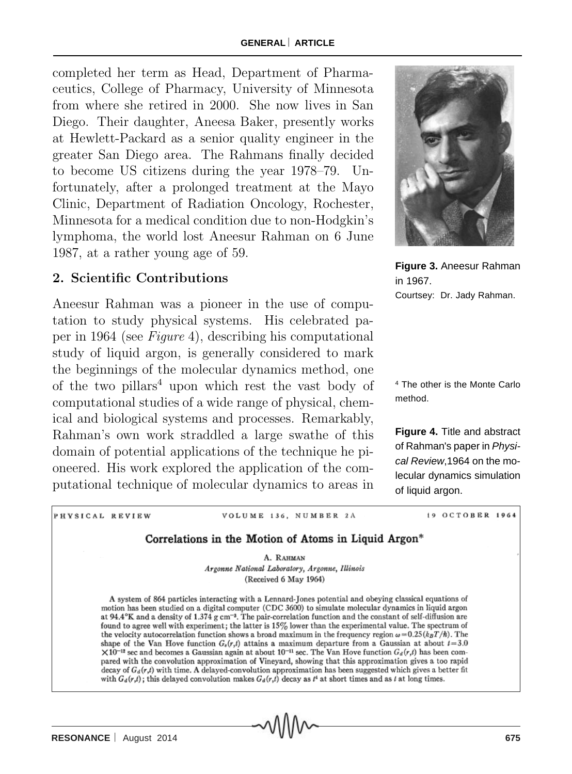#### **GENERAL** ⎜ **ARTICLE**

completed her term as Head, Department of Pharmaceutics, College of Pharmacy, University of Minnesota from where she retired in 2000. She now lives in San Diego. Their daughter, Aneesa Baker, presently works at Hewlett-Packard as a senior quality engineer in the greater San Diego area. The Rahmans finally decided to become US citizens during the year 1978–79. Unfortunately, after a prolonged treatment at the Mayo Clinic, Department of Radiation Oncology, Rochester, Minnesota for a medical condition due to non-Hodgkin's lymphoma, the world lost Aneesur Rahman on 6 June 1987, at a rather young age of 59.

# **2. Scientific Contributions**

Aneesur Rahman was a pioneer in the use of computation to study physical systems. His celebrated paper in 1964 (see *Figure* 4), describing his computational study of liquid argon, is generally considered to mark the beginnings of the molecular dynamics method, one of the two pillars<sup>4</sup> upon which rest the vast body of computational studies of a wide range of physical, chemical and biological systems and processes. Remarkably, Rahman's own work straddled a large swathe of this domain of potential applications of the technique he pioneered. His work explored the application of the computational technique of molecular dynamics to areas in

PHYSICAL REVIEW

VOLUME 136. NUMBER 2A



**Figure 3.** Aneesur Rahman in 1967. Courtsey: Dr. Jady Rahman.

4 The other is the Monte Carlo method.

**Figure 4.** Title and abstract of Rahman's paper in *Physical Review*,1964 on the molecular dynamics simulation of liquid argon.

19 OCTOBER 1964

#### Correlations in the Motion of Atoms in Liquid Argon\*

A. RAHMAN Argonne National Laboratory, Argonne, Illinois (Received 6 May 1964)

A system of 864 particles interacting with a Lennard-Jones potential and obeying classical equations of motion has been studied on a digital computer (CDC 3600) to simulate molecular dynamics in liquid argon at 94.4°K and a density of 1.374  $g \text{ cm}^{-3}$ . The pair-correlation function and the constant of self-diffusion are found to agree well with experiment; the latter is 15% lower than the experimental value. The spectrum of the velocity autocorrelation function shows a broad maximum in the frequency region  $\omega = 0.25 (k_B T/\hbar)$ . The shape of the Van Hove function  $G_s(r,t)$  attains a maximum departure from a Gaussian at about  $t=3.0$  $\times 10^{-12}$  sec and becomes a Gaussian again at about 10<sup>-11</sup> sec. The Van Hove function  $G<sub>d</sub>(r,t)$  has been compared with the convolution approximation of Vineyard, showing that this approximation gives a too rapid decay of  $G_a(r,t)$  with time. A delayed-convolution approximation has been suggested which gives a better fit with  $G_d(r,t)$ ; this delayed convolution makes  $G_d(r,t)$  decay as  $t^4$  at short times and as t at long times.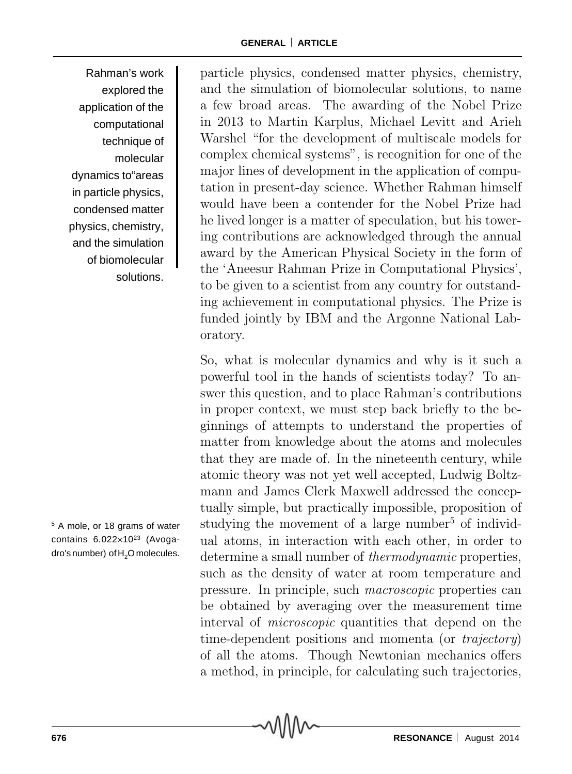Rahman's work explored the application of the computational technique of molecular dynamics to"areas in particle physics, condensed matter physics, chemistry, and the simulation of biomolecular solutions.

5 A mole, or 18 grams of water contains  $6.022\times10^{23}$  (Avogadro's number) of H<sub>2</sub>O molecules.

particle physics, condensed matter physics, chemistry, and the simulation of biomolecular solutions, to name a few broad areas. The awarding of the Nobel Prize in 2013 to Martin Karplus, Michael Levitt and Arieh Warshel "for the development of multiscale models for complex chemical systems", is recognition for one of the major lines of development in the application of computation in present-day science. Whether Rahman himself would have been a contender for the Nobel Prize had he lived longer is a matter of speculation, but his towering contributions are acknowledged through the annual award by the American Physical Society in the form of the 'Aneesur Rahman Prize in Computational Physics', to be given to a scientist from any country for outstanding achievement in computational physics. The Prize is funded jointly by IBM and the Argonne National Laboratory.

So, what is molecular dynamics and why is it such a powerful tool in the hands of scientists today? To answer this question, and to place Rahman's contributions in proper context, we must step back briefly to the beginnings of attempts to understand the properties of matter from knowledge about the atoms and molecules that they are made of. In the nineteenth century, while atomic theory was not yet well accepted, Ludwig Boltzmann and James Clerk Maxwell addressed the conceptually simple, but practically impossible, proposition of studying the movement of a large number<sup>5</sup> of individual atoms, in interaction with each other, in order to determine a small number of *thermodynamic* properties, such as the density of water at room temperature and pressure. In principle, such *macroscopic* properties can be obtained by averaging over the measurement time interval of *microscopic* quantities that depend on the time-dependent positions and momenta (or *trajectory*) of all the atoms. Though Newtonian mechanics offers a method, in principle, for calculating such trajectories,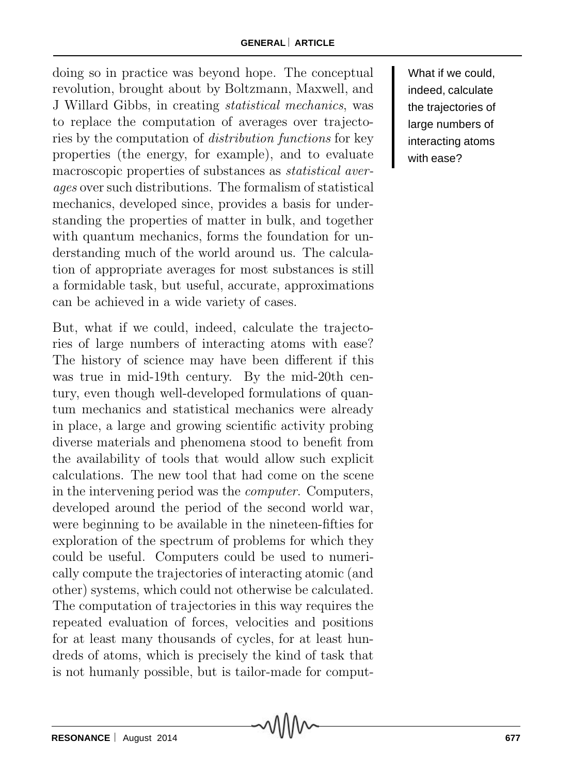doing so in practice was beyond hope. The conceptual revolution, brought about by Boltzmann, Maxwell, and J Willard Gibbs, in creating *statistical mechanics*, was to replace the computation of averages over trajectories by the computation of *distribution functions* for key properties (the energy, for example), and to evaluate macroscopic properties of substances as *statistical averages* over such distributions. The formalism of statistical mechanics, developed since, provides a basis for understanding the properties of matter in bulk, and together with quantum mechanics, forms the foundation for understanding much of the world around us. The calculation of appropriate averages for most substances is still a formidable task, but useful, accurate, approximations can be achieved in a wide variety of cases.

But, what if we could, indeed, calculate the trajectories of large numbers of interacting atoms with ease? The history of science may have been different if this was true in mid-19th century. By the mid-20th century, even though well-developed formulations of quantum mechanics and statistical mechanics were already in place, a large and growing scientific activity probing diverse materials and phenomena stood to benefit from the availability of tools that would allow such explicit calculations. The new tool that had come on the scene in the intervening period was the *computer*. Computers, developed around the period of the second world war, were beginning to be available in the nineteen-fifties for exploration of the spectrum of problems for which they could be useful. Computers could be used to numerically compute the trajectories of interacting atomic (and other) systems, which could not otherwise be calculated. The computation of trajectories in this way requires the repeated evaluation of forces, velocities and positions for at least many thousands of cycles, for at least hundreds of atoms, which is precisely the kind of task that is not humanly possible, but is tailor-made for computWhat if we could, indeed, calculate the trajectories of large numbers of interacting atoms with ease?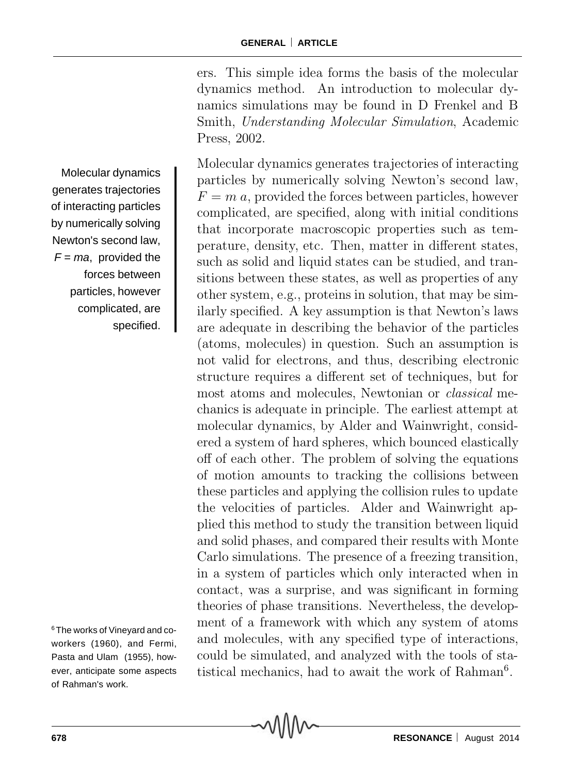ers. This simple idea forms the basis of the molecular dynamics method. An introduction to molecular dynamics simulations may be found in D Frenkel and B Smith, *Understanding Molecular Simulation*, Academic Press, 2002.

Molecular dynamics generates trajectories of interacting particles by numerically solving Newton's second law,  $F = m a$ , provided the forces between particles, however complicated, are specified, along with initial conditions that incorporate macroscopic properties such as temperature, density, etc. Then, matter in different states, such as solid and liquid states can be studied, and transitions between these states, as well as properties of any other system, e.g., proteins in solution, that may be similarly specified. A key assumption is that Newton's laws are adequate in describing the behavior of the particles (atoms, molecules) in question. Such an assumption is not valid for electrons, and thus, describing electronic structure requires a different set of techniques, but for most atoms and molecules, Newtonian or *classical* mechanics is adequate in principle. The earliest attempt at molecular dynamics, by Alder and Wainwright, considered a system of hard spheres, which bounced elastically off of each other. The problem of solving the equations of motion amounts to tracking the collisions between these particles and applying the collision rules to update the velocities of particles. Alder and Wainwright applied this method to study the transition between liquid and solid phases, and compared their results with Monte Carlo simulations. The presence of a freezing transition, in a system of particles which only interacted when in contact, was a surprise, and was significant in forming theories of phase transitions. Nevertheless, the development of a framework with which any system of atoms and molecules, with any specified type of interactions, could be simulated, and analyzed with the tools of statistical mechanics, had to await the work of Rahman<sup>6</sup>.

Molecular dynamics generates trajectories of interacting particles by numerically solving Newton's second law, *F* = *ma*, provided the forces between particles, however complicated, are specified.

6 The works of Vineyard and coworkers (1960), and Fermi, Pasta and Ulam (1955), however, anticipate some aspects of Rahman's work.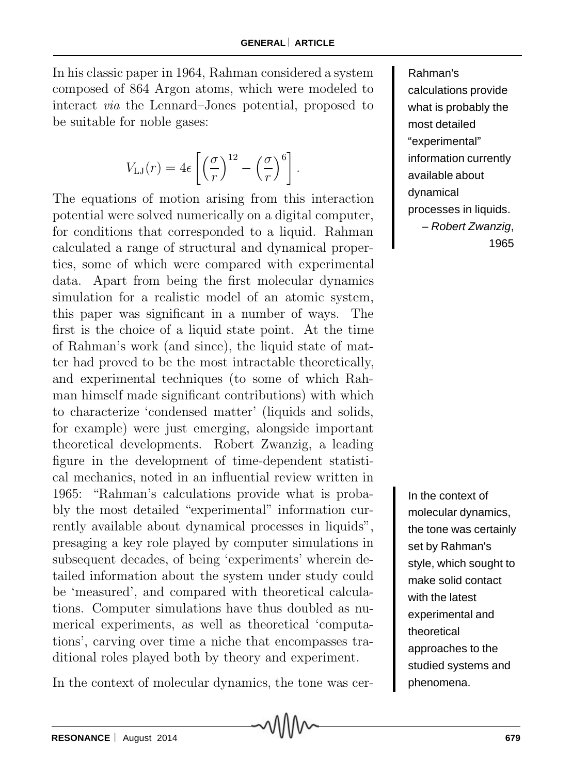.

In his classic paper in 1964, Rahman considered a system composed of 864 Argon atoms, which were modeled to interact *via* the Lennard–Jones potential, proposed to be suitable for noble gases:

$$
V_{\mathrm{LJ}}(r)=4\epsilon\left[\left(\frac{\sigma}{r}\right)^{12}-\left(\frac{\sigma}{r}\right)^{6}\right]
$$

The equations of motion arising from this interaction potential were solved numerically on a digital computer, for conditions that corresponded to a liquid. Rahman calculated a range of structural and dynamical properties, some of which were compared with experimental data. Apart from being the first molecular dynamics simulation for a realistic model of an atomic system, this paper was significant in a number of ways. The first is the choice of a liquid state point. At the time of Rahman's work (and since), the liquid state of matter had proved to be the most intractable theoretically, and experimental techniques (to some of which Rahman himself made significant contributions) with which to characterize 'condensed matter' (liquids and solids, for example) were just emerging, alongside important theoretical developments. Robert Zwanzig, a leading figure in the development of time-dependent statistical mechanics, noted in an influential review written in 1965: "Rahman's calculations provide what is probably the most detailed "experimental" information currently available about dynamical processes in liquids", presaging a key role played by computer simulations in subsequent decades, of being 'experiments' wherein detailed information about the system under study could be 'measured', and compared with theoretical calculations. Computer simulations have thus doubled as numerical experiments, as well as theoretical 'computations', carving over time a niche that encompasses traditional roles played both by theory and experiment.

In the context of molecular dynamics, the tone was cer-

Rahman's calculations provide what is probably the most detailed "experimental" information currently available about dynamical processes in liquids. – *Robert Zwanzig*, 1965

In the context of molecular dynamics, the tone was certainly set by Rahman's style, which sought to make solid contact with the latest experimental and theoretical approaches to the studied systems and phenomena.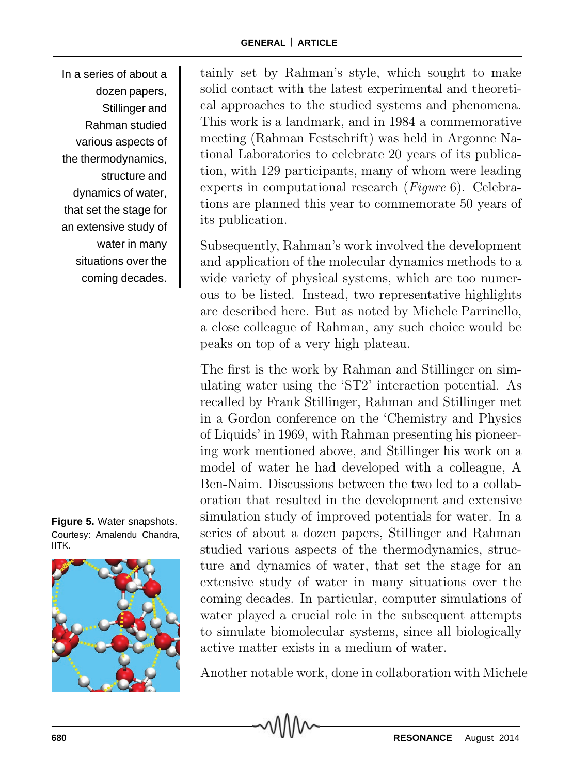In a series of about a dozen papers, Stillinger and Rahman studied various aspects of the thermodynamics, structure and dynamics of water, that set the stage for an extensive study of water in many situations over the coming decades.

**Figure 5.** Water snapshots. Courtesy: Amalendu Chandra, IITK.



tainly set by Rahman's style, which sought to make solid contact with the latest experimental and theoretical approaches to the studied systems and phenomena. This work is a landmark, and in 1984 a commemorative meeting (Rahman Festschrift) was held in Argonne National Laboratories to celebrate 20 years of its publication, with 129 participants, many of whom were leading experts in computational research (*Figure* 6). Celebrations are planned this year to commemorate 50 years of its publication.

Subsequently, Rahman's work involved the development and application of the molecular dynamics methods to a wide variety of physical systems, which are too numerous to be listed. Instead, two representative highlights are described here. But as noted by Michele Parrinello, a close colleague of Rahman, any such choice would be peaks on top of a very high plateau.

The first is the work by Rahman and Stillinger on simulating water using the 'ST2' interaction potential. As recalled by Frank Stillinger, Rahman and Stillinger met in a Gordon conference on the 'Chemistry and Physics of Liquids' in 1969, with Rahman presenting his pioneering work mentioned above, and Stillinger his work on a model of water he had developed with a colleague, A Ben-Naim. Discussions between the two led to a collaboration that resulted in the development and extensive simulation study of improved potentials for water. In a series of about a dozen papers, Stillinger and Rahman studied various aspects of the thermodynamics, structure and dynamics of water, that set the stage for an extensive study of water in many situations over the coming decades. In particular, computer simulations of water played a crucial role in the subsequent attempts to simulate biomolecular systems, since all biologically active matter exists in a medium of water.

Another notable work, done in collaboration with Michele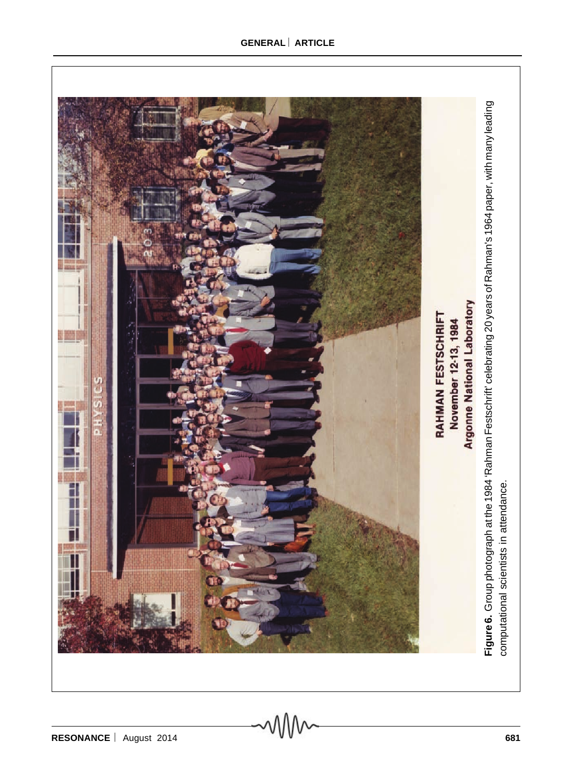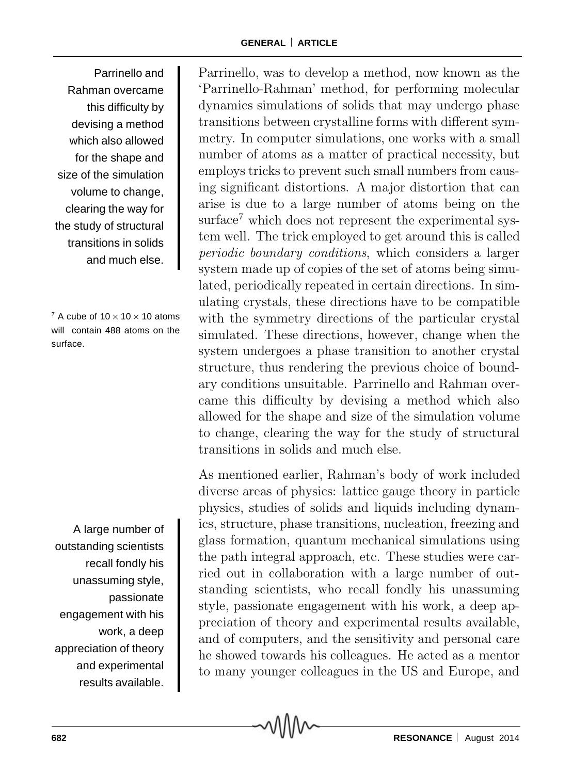Parrinello and Rahman overcame this difficulty by devising a method which also allowed for the shape and size of the simulation volume to change, clearing the way for the study of structural transitions in solids and much else.

 $7$  A cube of  $10 \times 10 \times 10$  atoms will contain 488 atoms on the surface.

A large number of outstanding scientists recall fondly his unassuming style, passionate engagement with his work, a deep appreciation of theory and experimental results available.

Parrinello, was to develop a method, now known as the 'Parrinello-Rahman' method, for performing molecular dynamics simulations of solids that may undergo phase transitions between crystalline forms with different symmetry. In computer simulations, one works with a small number of atoms as a matter of practical necessity, but employs tricks to prevent such small numbers from causing significant distortions. A major distortion that can arise is due to a large number of atoms being on the  $\text{surface}^7$  which does not represent the experimental system well. The trick employed to get around this is called *periodic boundary conditions*, which considers a larger system made up of copies of the set of atoms being simulated, periodically repeated in certain directions. In simulating crystals, these directions have to be compatible with the symmetry directions of the particular crystal simulated. These directions, however, change when the system undergoes a phase transition to another crystal structure, thus rendering the previous choice of boundary conditions unsuitable. Parrinello and Rahman overcame this difficulty by devising a method which also allowed for the shape and size of the simulation volume to change, clearing the way for the study of structural transitions in solids and much else.

As mentioned earlier, Rahman's body of work included diverse areas of physics: lattice gauge theory in particle physics, studies of solids and liquids including dynamics, structure, phase transitions, nucleation, freezing and glass formation, quantum mechanical simulations using the path integral approach, etc. These studies were carried out in collaboration with a large number of outstanding scientists, who recall fondly his unassuming style, passionate engagement with his work, a deep appreciation of theory and experimental results available, and of computers, and the sensitivity and personal care he showed towards his colleagues. He acted as a mentor to many younger colleagues in the US and Europe, and